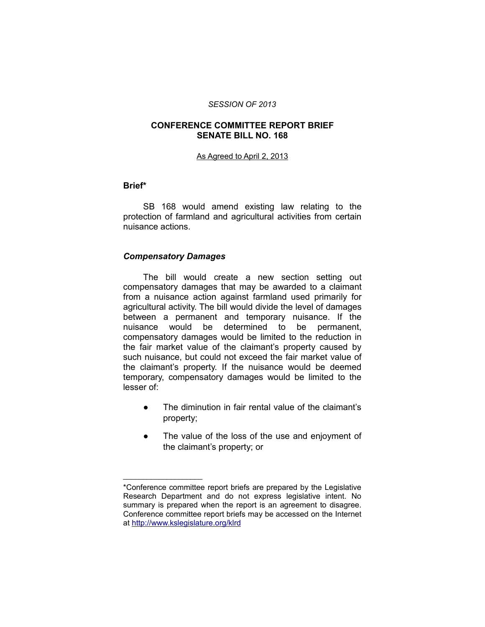#### *SESSION OF 2013*

#### **CONFERENCE COMMITTEE REPORT BRIEF SENATE BILL NO. 168**

#### As Agreed to April 2, 2013

#### **Brief\***

SB 168 would amend existing law relating to the protection of farmland and agricultural activities from certain nuisance actions.

### *Compensatory Damages*

\_\_\_\_\_\_\_\_\_\_\_\_\_\_\_\_\_\_\_\_

The bill would create a new section setting out compensatory damages that may be awarded to a claimant from a nuisance action against farmland used primarily for agricultural activity. The bill would divide the level of damages between a permanent and temporary nuisance. If the nuisance would be determined to be permanent, compensatory damages would be limited to the reduction in the fair market value of the claimant's property caused by such nuisance, but could not exceed the fair market value of the claimant's property. If the nuisance would be deemed temporary, compensatory damages would be limited to the lesser of:

- The diminution in fair rental value of the claimant's property;
- The value of the loss of the use and enjoyment of the claimant's property; or

<sup>\*</sup>Conference committee report briefs are prepared by the Legislative Research Department and do not express legislative intent. No summary is prepared when the report is an agreement to disagree. Conference committee report briefs may be accessed on the Internet at<http://www.kslegislature.org/klrd>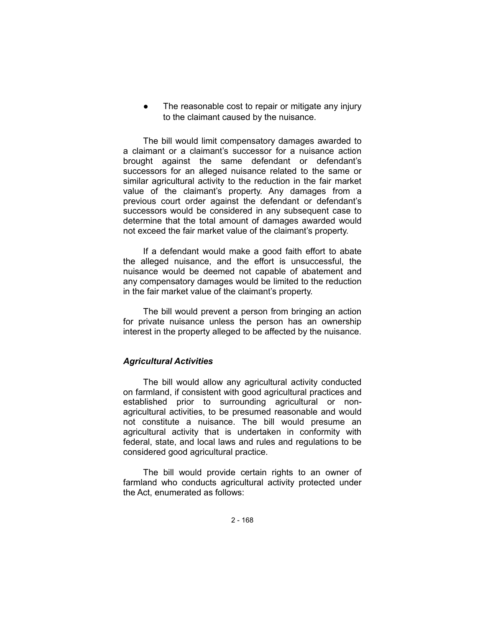The reasonable cost to repair or mitigate any injury to the claimant caused by the nuisance.

The bill would limit compensatory damages awarded to a claimant or a claimant's successor for a nuisance action brought against the same defendant or defendant's successors for an alleged nuisance related to the same or similar agricultural activity to the reduction in the fair market value of the claimant's property. Any damages from a previous court order against the defendant or defendant's successors would be considered in any subsequent case to determine that the total amount of damages awarded would not exceed the fair market value of the claimant's property.

If a defendant would make a good faith effort to abate the alleged nuisance, and the effort is unsuccessful, the nuisance would be deemed not capable of abatement and any compensatory damages would be limited to the reduction in the fair market value of the claimant's property.

The bill would prevent a person from bringing an action for private nuisance unless the person has an ownership interest in the property alleged to be affected by the nuisance.

## *Agricultural Activities*

The bill would allow any agricultural activity conducted on farmland, if consistent with good agricultural practices and established prior to surrounding agricultural or nonagricultural activities, to be presumed reasonable and would not constitute a nuisance. The bill would presume an agricultural activity that is undertaken in conformity with federal, state, and local laws and rules and regulations to be considered good agricultural practice.

The bill would provide certain rights to an owner of farmland who conducts agricultural activity protected under the Act, enumerated as follows: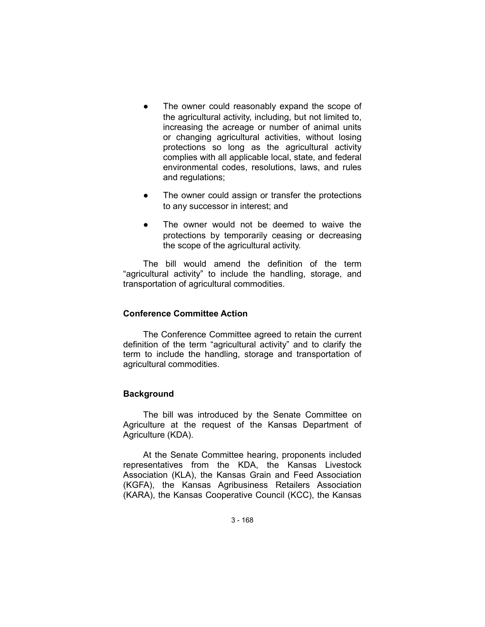- The owner could reasonably expand the scope of the agricultural activity, including, but not limited to, increasing the acreage or number of animal units or changing agricultural activities, without losing protections so long as the agricultural activity complies with all applicable local, state, and federal environmental codes, resolutions, laws, and rules and regulations;
- The owner could assign or transfer the protections to any successor in interest; and
- The owner would not be deemed to waive the protections by temporarily ceasing or decreasing the scope of the agricultural activity.

The bill would amend the definition of the term "agricultural activity" to include the handling, storage, and transportation of agricultural commodities.

# **Conference Committee Action**

The Conference Committee agreed to retain the current definition of the term "agricultural activity" and to clarify the term to include the handling, storage and transportation of agricultural commodities.

### **Background**

The bill was introduced by the Senate Committee on Agriculture at the request of the Kansas Department of Agriculture (KDA).

At the Senate Committee hearing, proponents included representatives from the KDA, the Kansas Livestock Association (KLA), the Kansas Grain and Feed Association (KGFA), the Kansas Agribusiness Retailers Association (KARA), the Kansas Cooperative Council (KCC), the Kansas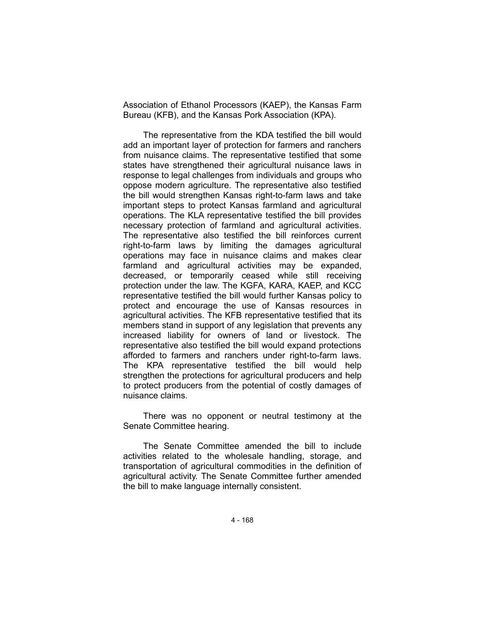Association of Ethanol Processors (KAEP), the Kansas Farm Bureau (KFB), and the Kansas Pork Association (KPA).

The representative from the KDA testified the bill would add an important layer of protection for farmers and ranchers from nuisance claims. The representative testified that some states have strengthened their agricultural nuisance laws in response to legal challenges from individuals and groups who oppose modern agriculture. The representative also testified the bill would strengthen Kansas right-to-farm laws and take important steps to protect Kansas farmland and agricultural operations. The KLA representative testified the bill provides necessary protection of farmland and agricultural activities. The representative also testified the bill reinforces current right-to-farm laws by limiting the damages agricultural operations may face in nuisance claims and makes clear farmland and agricultural activities may be expanded, decreased, or temporarily ceased while still receiving protection under the law. The KGFA, KARA, KAEP, and KCC representative testified the bill would further Kansas policy to protect and encourage the use of Kansas resources in agricultural activities. The KFB representative testified that its members stand in support of any legislation that prevents any increased liability for owners of land or livestock. The representative also testified the bill would expand protections afforded to farmers and ranchers under right-to-farm laws. The KPA representative testified the bill would help strengthen the protections for agricultural producers and help to protect producers from the potential of costly damages of nuisance claims.

There was no opponent or neutral testimony at the Senate Committee hearing.

The Senate Committee amended the bill to include activities related to the wholesale handling, storage, and transportation of agricultural commodities in the definition of agricultural activity. The Senate Committee further amended the bill to make language internally consistent.